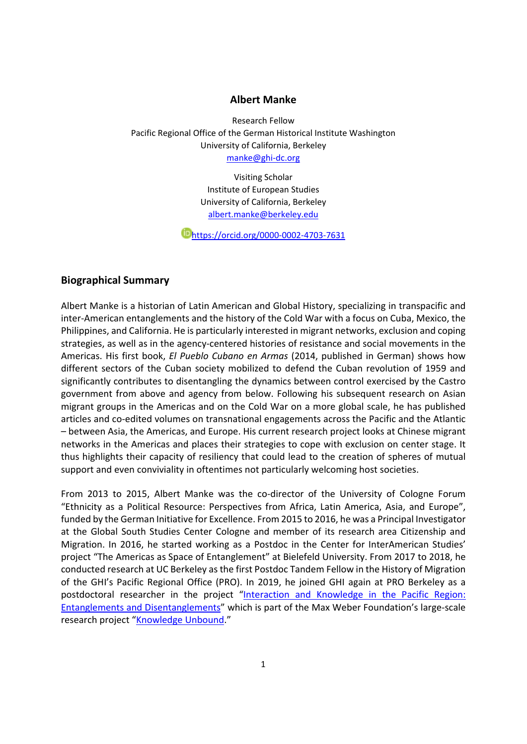#### **Albert Manke**

Research Fellow Pacific Regional Office of the German Historical Institute Washington University of California, Berkeley manke@ghi‐dc.org

> Visiting Scholar Institute of European Studies University of California, Berkeley albert.manke@berkeley.edu

https://orcid.org/0000‐0002‐4703‐7631

#### **Biographical Summary**

Albert Manke is a historian of Latin American and Global History, specializing in transpacific and inter‐American entanglements and the history of the Cold War with a focus on Cuba, Mexico, the Philippines, and California. He is particularly interested in migrant networks, exclusion and coping strategies, as well as in the agency‐centered histories of resistance and social movements in the Americas. His first book, *El Pueblo Cubano en Armas* (2014, published in German) shows how different sectors of the Cuban society mobilized to defend the Cuban revolution of 1959 and significantly contributes to disentangling the dynamics between control exercised by the Castro government from above and agency from below. Following his subsequent research on Asian migrant groups in the Americas and on the Cold War on a more global scale, he has published articles and co‐edited volumes on transnational engagements across the Pacific and the Atlantic – between Asia, the Americas, and Europe. His current research project looks at Chinese migrant networks in the Americas and places their strategies to cope with exclusion on center stage. It thus highlights their capacity of resiliency that could lead to the creation of spheres of mutual support and even conviviality in oftentimes not particularly welcoming host societies.

From 2013 to 2015, Albert Manke was the co-director of the University of Cologne Forum "Ethnicity as a Political Resource: Perspectives from Africa, Latin America, Asia, and Europe", funded by the German Initiative for Excellence. From 2015 to 2016, he was a Principal Investigator at the Global South Studies Center Cologne and member of its research area Citizenship and Migration. In 2016, he started working as a Postdoc in the Center for InterAmerican Studies' project "The Americas as Space of Entanglement" at Bielefeld University. From 2017 to 2018, he conducted research at UC Berkeley asthe first Postdoc Tandem Fellow in the History of Migration of the GHI's Pacific Regional Office (PRO). In 2019, he joined GHI again at PRO Berkeley as a postdoctoral researcher in the project "Interaction and Knowledge in the Pacific Region: Entanglements and Disentanglements" which is part of the Max Weber Foundation's large‐scale research project "Knowledge Unbound."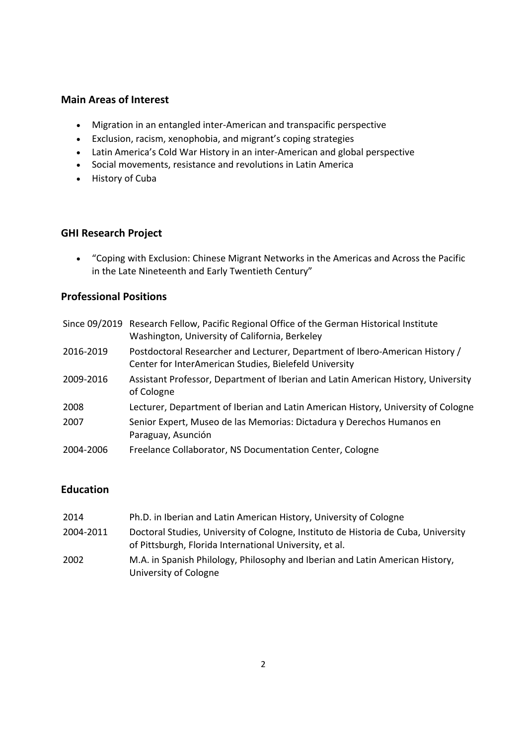## **Main Areas of Interest**

- Migration in an entangled inter-American and transpacific perspective
- Exclusion, racism, xenophobia, and migrant's coping strategies
- Latin America's Cold War History in an inter-American and global perspective
- Social movements, resistance and revolutions in Latin America
- History of Cuba

### **GHI Research Project**

 "Coping with Exclusion: Chinese Migrant Networks in the Americas and Across the Pacific in the Late Nineteenth and Early Twentieth Century"

# **Professional Positions**

|           | Since 09/2019 Research Fellow, Pacific Regional Office of the German Historical Institute<br>Washington, University of California, Berkeley |
|-----------|---------------------------------------------------------------------------------------------------------------------------------------------|
| 2016-2019 | Postdoctoral Researcher and Lecturer, Department of Ibero-American History /<br>Center for InterAmerican Studies, Bielefeld University      |
| 2009-2016 | Assistant Professor, Department of Iberian and Latin American History, University<br>of Cologne                                             |
| 2008      | Lecturer, Department of Iberian and Latin American History, University of Cologne                                                           |
| 2007      | Senior Expert, Museo de las Memorias: Dictadura y Derechos Humanos en<br>Paraguay, Asunción                                                 |
| 2004-2006 | Freelance Collaborator, NS Documentation Center, Cologne                                                                                    |

# **Education**

| 2014      | Ph.D. in Iberian and Latin American History, University of Cologne                                                                            |
|-----------|-----------------------------------------------------------------------------------------------------------------------------------------------|
| 2004-2011 | Doctoral Studies, University of Cologne, Instituto de Historia de Cuba, University<br>of Pittsburgh, Florida International University, et al. |
| 2002      | M.A. in Spanish Philology, Philosophy and Iberian and Latin American History,<br>University of Cologne                                        |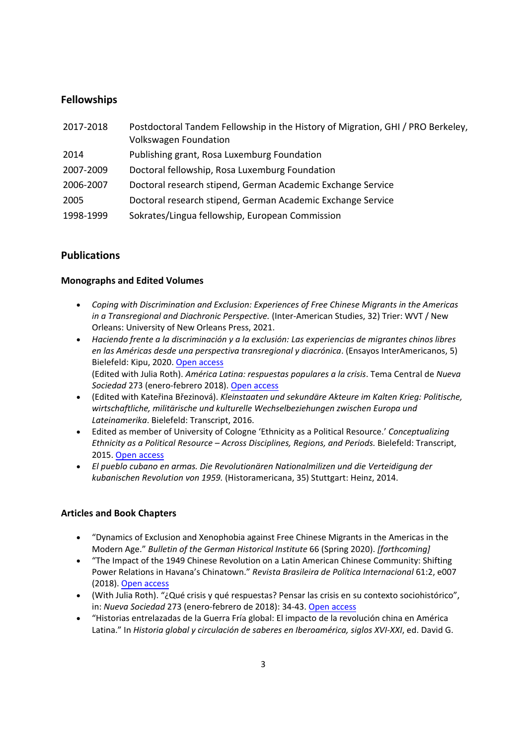# **Fellowships**

| 2017-2018 | Postdoctoral Tandem Fellowship in the History of Migration, GHI / PRO Berkeley,<br><b>Volkswagen Foundation</b> |
|-----------|-----------------------------------------------------------------------------------------------------------------|
| 2014      | Publishing grant, Rosa Luxemburg Foundation                                                                     |
| 2007-2009 | Doctoral fellowship, Rosa Luxemburg Foundation                                                                  |
| 2006-2007 | Doctoral research stipend, German Academic Exchange Service                                                     |
| 2005      | Doctoral research stipend, German Academic Exchange Service                                                     |
| 1998-1999 | Sokrates/Lingua fellowship, European Commission                                                                 |

# **Publications**

### **Monographs and Edited Volumes**

- *Coping with Discrimination and Exclusion: Experiences of Free Chinese Migrants in the Americas in a Transregional and Diachronic Perspective.* (Inter‐American Studies, 32) Trier: WVT / New Orleans: University of New Orleans Press, 2021.
- *Haciendo frente a la discriminación y a la exclusión: Las experiencias de migrantes chinos libres en las Américas desde una perspectiva transregional y diacrónica*. (Ensayos InterAmericanos, 5) Bielefeld: Kipu, 2020. [Open access](https://pub.uni-bielefeld.de/download/2943272/2943490/Manke_Haciendo frente a la discriminaci%C3%B3n y a la exclusi%C3%B3n.pdf) (Edited with Julia Roth). *América Latina: respuestas populares a la crisis*. Tema Central de *Nueva Sociedad* 273 (enero‐febrero 2018). [Open access](http://nuso.org/revista/273/america%E2%80%90latina%E2%80%90respuestas%E2%80%90populares%E2%80%90la%E2%80%90crisis/)
- (Edited with Kateřina Březinová). *Kleinstaaten und sekundäre Akteure im Kalten Krieg: Politische, wirtschaftliche, militärische und kulturelle Wechselbeziehungen zwischen Europa und Lateinamerika*. Bielefeld: Transcript, 2016.
- Edited as member of University of Cologne 'Ethnicity as a Political Resource.' *Conceptualizing Ethnicity as a Political Resource – Across Disciplines, Regions, and Periods.* Bielefeld: Transcript, 2015. [Open access](http://www.transcript%E2%80%90verlag.de/978%E2%80%903%E2%80%908376%E2%80%903013%E2%80%908/ethnicity%E2%80%90as%E2%80%90a%E2%80%90political%E2%80%90resource)
- *El pueblo cubano en armas. Die Revolutionären Nationalmilizen und die Verteidigung der kubanischen Revolution von 1959.* (Historamericana, 35) Stuttgart: Heinz, 2014.

### **Articles and Book Chapters**

- "Dynamics of Exclusion and Xenophobia against Free Chinese Migrants in the Americas in the Modern Age." *Bulletin of the German Historical Institute* 66 (Spring 2020). *[forthcoming]*
- "The Impact of the 1949 Chinese Revolution on a Latin American Chinese Community: Shifting Power Relations in Havana's Chinatown." *Revista Brasileira de Política Internacional* 61:2, e007 (2018). [Open access](http://dx.doi.org/10.1590/0034%E2%80%907329201800207)
- (With Julia Roth). "¿Qué crisis y qué respuestas? Pensar las crisis en su contexto sociohistórico", in: *Nueva Sociedad* 273 (enero‐febrero de 2018): 34‐43. [Open access](http://nuso.org/articulo/que%E2%80%90crisis%E2%80%90y%E2%80%90que%E2%80%90respuestas/)
- "Historias entrelazadas de la Guerra Fría global: El impacto de la revolución china en América Latina." In *Historia global y circulación de saberes en Iberoamérica, siglos XVI‐XXI*, ed. David G.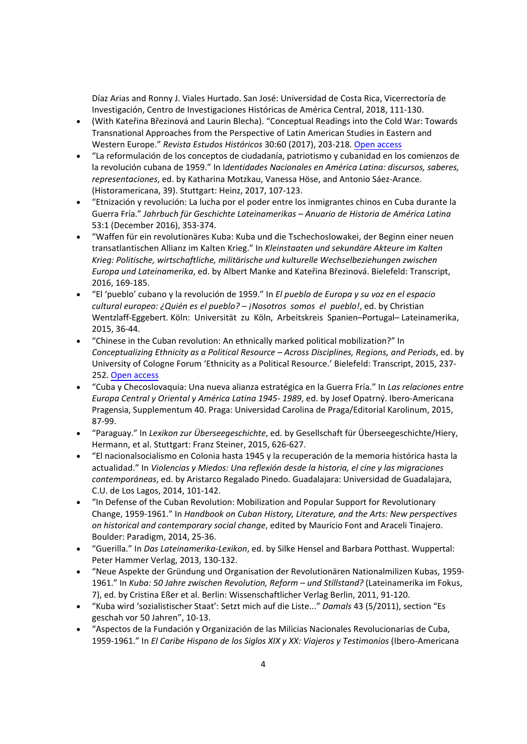Díaz Arias and Ronny J. Viales Hurtado. San José: Universidad de Costa Rica, Vicerrectoría de Investigación, Centro de Investigaciones Históricas de América Central, 2018, 111‐130.

- (With Kateřina Březinová and Laurin Blecha). "Conceptual Readings into the Cold War: Towards Transnational Approaches from the Perspective of Latin American Studies in Eastern and Western Europe." *Revista Estudos Históricos* 30:60 (2017), 203‐218. [Open access](http://dx.doi.org/10.1590/S2178%E2%80%9014942017000100011)
- "La reformulación de los conceptos de ciudadanía, patriotismo y cubanidad en los comienzos de la revolución cubana de 1959." In I*dentidades Nacionales en América Latina: discursos, saberes, representaciones*, ed. by Katharina Motzkau, Vanessa Höse, and Antonio Sáez‐Arance. (Historamericana, 39). Stuttgart: Heinz, 2017, 107‐123.
- "Etnización y revolución: La lucha por el poder entre los inmigrantes chinos en Cuba durante la Guerra Fría." *Jahrbuch für Geschichte Lateinamerikas – Anuario de Historia de América Latina* 53:1 (December 2016), 353‐374.
- "Waffen für ein revolutionäres Kuba: Kuba und die Tschechoslowakei, der Beginn einer neuen transatlantischen Allianz im Kalten Krieg." In *Kleinstaaten und sekundäre Akteure im Kalten Krieg: Politische, wirtschaftliche, militärische und kulturelle Wechselbeziehungen zwischen Europa und Lateinamerika*, ed. by Albert Manke and Kateřina Březinová. Bielefeld: Transcript, 2016, 169‐185.
- "El 'pueblo' cubano y la revolución de 1959." In *El pueblo de Europa y su voz en el espacio cultural europeo: ¿Quién es el pueblo? – ¡Nosotros somos el pueblo!*, ed. by Christian Wentzlaff‐Eggebert. Köln: Universität zu Köln, Arbeitskreis Spanien–Portugal– Lateinamerika, 2015, 36‐44.
- "Chinese in the Cuban revolution: An ethnically marked political mobilization?" In *Conceptualizing Ethnicity as a Political Resource – Across Disciplines, Regions, and Periods*, ed. by University of Cologne Forum 'Ethnicity as a Political Resource.' Bielefeld: Transcript, 2015, 237‐ 252. [Open access](http://www.transcript%E2%80%90verlag.de/978%E2%80%903%E2%80%908376%E2%80%903013%E2%80%908/ethnicity%E2%80%90as%E2%80%90a%E2%80%90political%E2%80%90resource)
- "Cuba y Checoslovaquia: Una nueva alianza estratégica en la Guerra Fría." In *Las relaciones entre Europa Central y Oriental y América Latina 1945‐ 1989*, ed. by Josef Opatrný. Ibero‐Americana Pragensia, Supplementum 40. Praga: Universidad Carolina de Praga/Editorial Karolinum, 2015, 87‐99.
- "Paraguay." In *Lexikon zur Überseegeschichte*, ed. by Gesellschaft für Überseegeschichte/Hiery, Hermann, et al. Stuttgart: Franz Steiner, 2015, 626‐627.
- "El nacionalsocialismo en Colonia hasta 1945 y la recuperación de la memoria histórica hasta la actualidad." In *Violencias y Miedos: Una reflexión desde la historia, el cine y las migraciones contemporáneas*, ed. by Aristarco Regalado Pinedo. Guadalajara: Universidad de Guadalajara, C.U. de Los Lagos, 2014, 101‐142.
- "In Defense of the Cuban Revolution: Mobilization and Popular Support for Revolutionary Change, 1959‐1961." In *Handbook on Cuban History, Literature, and the Arts: New perspectives on historical and contemporary social change*, edited by Mauricio Font and Araceli Tinajero. Boulder: Paradigm, 2014, 25‐36.
- "Guerilla." In *Das Lateinamerika‐Lexikon*, ed. by Silke Hensel and Barbara Potthast. Wuppertal: Peter Hammer Verlag, 2013, 130‐132.
- "Neue Aspekte der Gründung und Organisation der Revolutionären Nationalmilizen Kubas, 1959‐ 1961." In *Kuba: 50 Jahre zwischen Revolution, Reform – und Stillstand?* (Lateinamerika im Fokus, 7), ed. by Cristina Eßer et al. Berlin: Wissenschaftlicher Verlag Berlin, 2011, 91‐120.
- "Kuba wird 'sozialistischer Staat': Setzt mich auf die Liste..." *Damals* 43 (5/2011), section "Es geschah vor 50 Jahren", 10‐13.
- "Aspectos de la Fundación y Organización de las Milicias Nacionales Revolucionarias de Cuba, 1959‐1961." In *El Caribe Hispano de los Siglos XIX y XX: Viajeros y Testimonios* (Ibero‐Americana